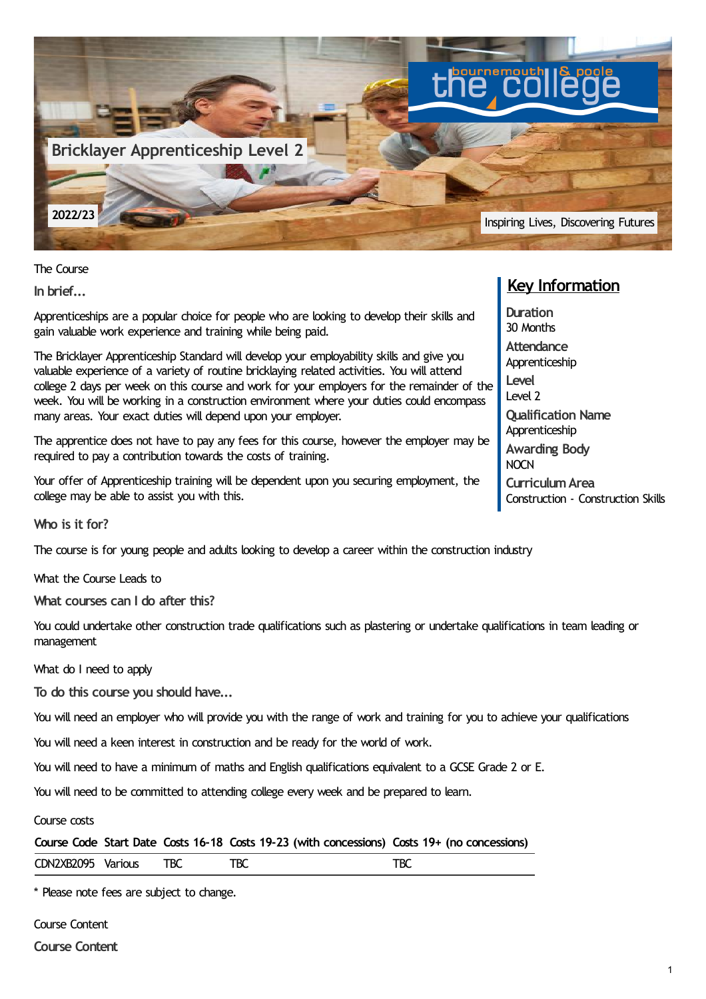

The Course

**In brief...**

Apprenticeships are a popular choice for people who are looking to develop their skills and gain valuable work experience and training while being paid.

The Bricklayer Apprenticeship Standard will develop your employability skills and give you valuable experience of a variety of routine bricklaying related activities. You will attend college 2 days per week on this course and work for your employers for the remainder of the week. You will be working in a construction environment where your duties could encompass many areas. Your exact duties will depend upon your employer.

The apprentice does not have to pay any fees for this course, however the employer may be required to pay a contribution towards the costs of training.

Your offer of Apprenticeship training will be dependent upon you securing employment, the college may be able to assist you with this.

**Who is it for?**

The course is for young people and adults looking to develop a career within the construction industry

What the Course Leads to

**What courses can I do after this?**

You could undertake other construction trade qualifications such as plastering or undertake qualifications in team leading or management

What do I need to apply

**To do this course you should have...**

You will need an employer who will provide you with the range of work and training for you to achieve your qualifications

You will need a keen interest in construction and be ready for the world of work.

You will need to have a minimum of maths and English qualifications equivalent to a GCSE Grade 2 or E.

You will need to be committed to attending college every week and be prepared to learn.

Course costs

|  |  |  |  | Course Code Start Date Costs 16-18 Costs 19-23 (with concessions) Costs 19+ (no concessions) |
|--|--|--|--|----------------------------------------------------------------------------------------------|
|--|--|--|--|----------------------------------------------------------------------------------------------|

| CDN2XB2095 Various | <b>TBC</b> | TBC | TBC |
|--------------------|------------|-----|-----|
|                    |            |     |     |

\* Please note fees are subject to change.

Course Content

**Course Content**

## **Key Information**

**Duration** 30 Months **Attendance** Apprenticeship **Level** Level 2 **Qualification Name** Apprenticeship **Awarding Body NOCN CurriculumArea** Construction - Construction Skills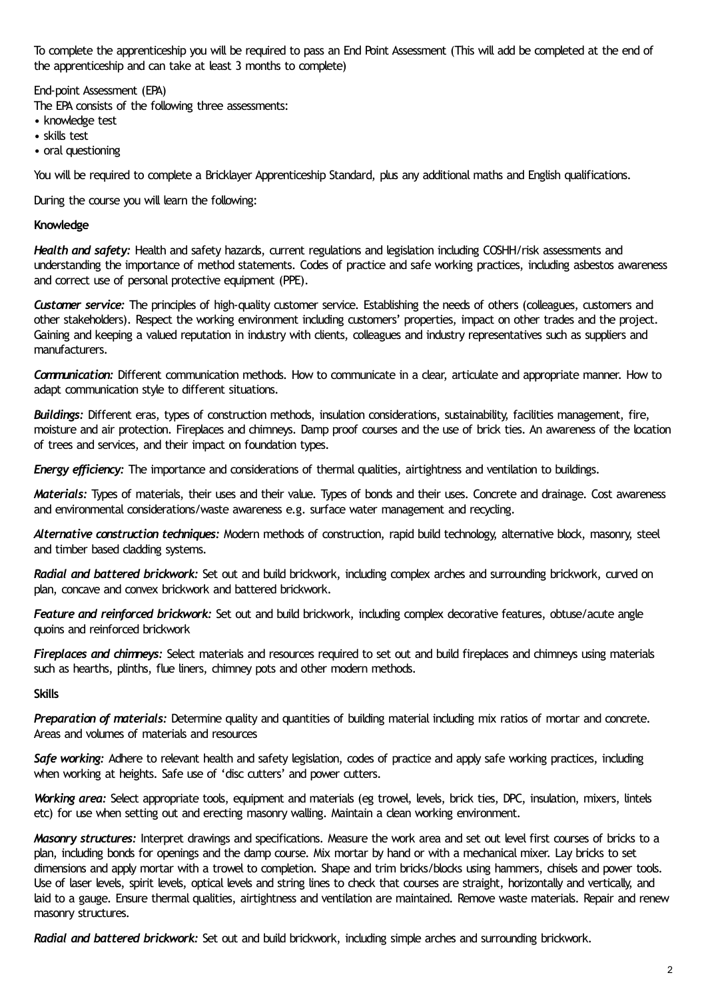To complete the apprenticeship you will be required to pass an End Point Assessment (This will add be completed at the end of the apprenticeship and can take at least 3 months to complete)

End-point Assessment (EPA)

The EPA consists of the following three assessments:

- knowledge test
- skills test
- oral questioning

You will be required to complete a Bricklayer Apprenticeship Standard, plus any additional maths and English qualifications.

During the course you will learn the following:

## **Knowledge**

*Health and safety:* Health and safety hazards, current regulations and legislation including COSHH/risk assessments and understanding the importance of method statements. Codes of practice and safe working practices, including asbestos awareness and correct use of personal protective equipment (PPE).

*Customer service:* The principles of high-quality customer service. Establishing the needs of others (colleagues, customers and other stakeholders). Respect the working environment including customers' properties, impact on other trades and the project. Gaining and keeping a valued reputation in industry with clients, colleagues and industry representatives such as suppliers and manufacturers.

*Communication:* Different communication methods. How to communicate in a clear, articulate and appropriate manner. How to adapt communication style to different situations.

*Buildings:* Different eras, types of construction methods, insulation considerations, sustainability, facilities management, fire, moisture and air protection. Fireplaces and chimneys. Damp proof courses and the use of brick ties. An awareness of the location of trees and services, and their impact on foundation types.

*Energy efficiency:* The importance and considerations of thermal qualities, airtightness and ventilation to buildings.

*Materials:* Types of materials, their uses and their value. Types of bonds and their uses. Concrete and drainage. Cost awareness and environmental considerations/waste awareness e.g. surface water management and recycling.

*Alternative construction techniques:* Modern methods of construction, rapid build technology, alternative block, masonry, steel and timber based cladding systems.

*Radial and battered brickwork:* Set out and build brickwork, including complex arches and surrounding brickwork, curved on plan, concave and convex brickwork and battered brickwork.

*Feature and reinforced brickwork:* Set out and build brickwork, including complex decorative features, obtuse/acute angle quoins and reinforced brickwork

*Fireplaces and chimneys:* Select materials and resources required to set out and build fireplaces and chimneys using materials such as hearths, plinths, flue liners, chimney pots and other modern methods.

**Skills**

*Preparation of materials:* Determine quality and quantities of building material including mix ratios of mortar and concrete. Areas and volumes of materials and resources

*Safe working:* Adhere to relevant health and safety legislation, codes of practice and apply safe working practices, including when working at heights. Safe use of 'disc cutters' and power cutters.

*Working area:* Select appropriate tools, equipment and materials (eg trowel, levels, brick ties, DPC, insulation, mixers, lintels etc) for use when setting out and erecting masonry walling. Maintain a clean working environment.

*Masonry structures:* Interpret drawings and specifications. Measure the work area and set out level first courses of bricks to a plan, including bonds for openings and the damp course. Mix mortar by hand or with a mechanical mixer. Lay bricks to set dimensions and apply mortar with a trowel to completion. Shape and trim bricks/blocks using hammers, chisels and power tools. Use of laser levels, spirit levels, optical levels and string lines to check that courses are straight, horizontally and vertically, and laid to a gauge. Ensure thermal qualities, airtightness and ventilation are maintained. Remove waste materials. Repair and renew masonry structures.

*Radial and battered brickwork:* Set out and build brickwork, including simple arches and surrounding brickwork.